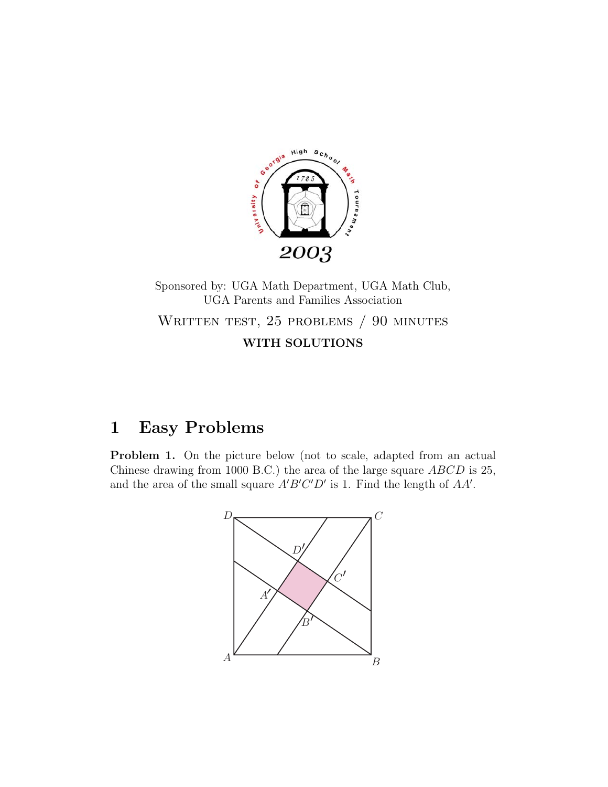

Sponsored by: UGA Math Department, UGA Math Club, UGA Parents and Families Association WRITTEN TEST, 25 PROBLEMS / 90 MINUTES **WITH SOLUTIONS**

## **1 Easy Problems**

**Problem 1.** On the picture below (not to scale, adapted from an actual Chinese drawing from 1000 B.C.) the area of the large square ABCD is 25, and the area of the small square  $A'B'C'D'$  is 1. Find the length of  $AA'$ .

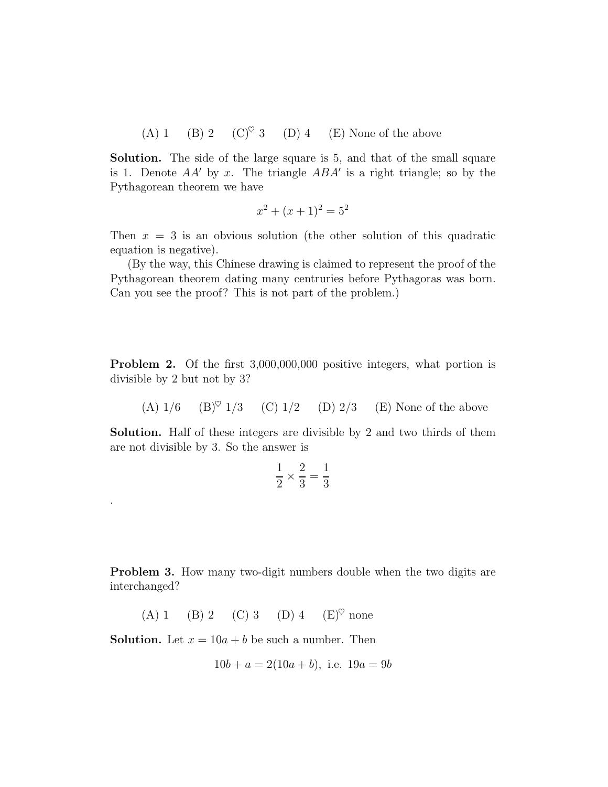(A) 1 (B) 2 (C)<sup> $\heartsuit$ </sup> 3 (D) 4 (E) None of the above

**Solution.** The side of the large square is 5, and that of the small square is 1. Denote  $AA'$  by x. The triangle  $ABA'$  is a right triangle; so by the Pythagorean theorem we have

$$
x^2 + (x+1)^2 = 5^2
$$

Then  $x = 3$  is an obvious solution (the other solution of this quadratic equation is negative).

(By the way, this Chinese drawing is claimed to represent the proof of the Pythagorean theorem dating many centruries before Pythagoras was born. Can you see the proof? This is not part of the problem.)

**Problem 2.** Of the first 3,000,000,000 positive integers, what portion is divisible by 2 but not by 3?

(A)  $1/6$  (B)<sup> $\circ$ </sup> 1/3 (C) 1/2 (D) 2/3 (E) None of the above

**Solution.** Half of these integers are divisible by 2 and two thirds of them are not divisible by 3. So the answer is

$$
\frac{1}{2} \times \frac{2}{3} = \frac{1}{3}
$$

**Problem 3.** How many two-digit numbers double when the two digits are interchanged?

(A) 1 (B) 2 (C) 3 (D) 4  $(E)^\heartsuit$  none

**Solution.** Let  $x = 10a + b$  be such a number. Then

.

$$
10b + a = 2(10a + b), \text{ i.e. } 19a = 9b
$$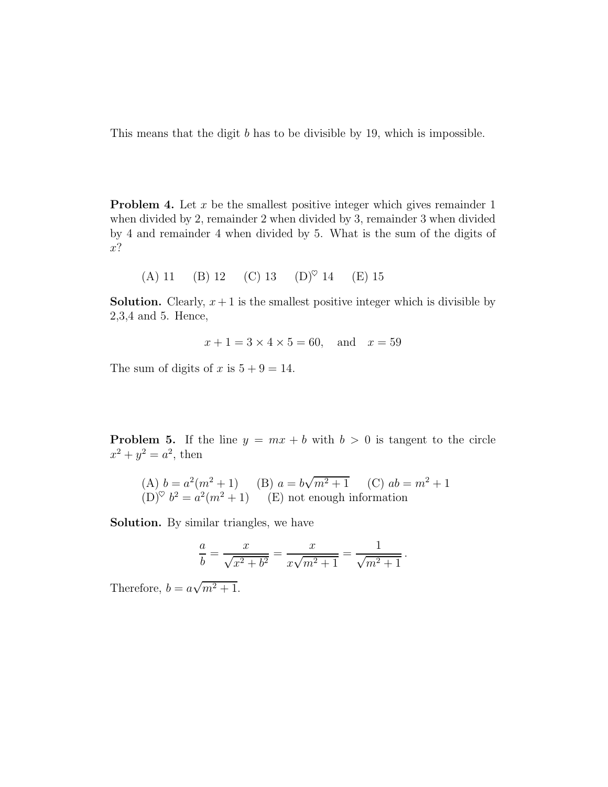This means that the digit b has to be divisible by 19, which is impossible.

**Problem 4.** Let x be the smallest positive integer which gives remainder 1 when divided by 2, remainder 2 when divided by 3, remainder 3 when divided by 4 and remainder 4 when divided by 5. What is the sum of the digits of x?

(A) 11 (B) 12 (C) 13 (D)♥ 14 (E) 15

**Solution.** Clearly,  $x + 1$  is the smallest positive integer which is divisible by 2,3,4 and 5. Hence,

$$
x + 1 = 3 \times 4 \times 5 = 60
$$
, and  $x = 59$ 

The sum of digits of x is  $5 + 9 = 14$ .

**Problem 5.** If the line  $y = mx + b$  with  $b > 0$  is tangent to the circle  $x^2 + y^2 = a^2$ , then

(A) 
$$
b = a^2(m^2 + 1)
$$
 (B)  $a = b\sqrt{m^2 + 1}$  (C)  $ab = m^2 + 1$   
(D)<sup>©</sup>  $b^2 = a^2(m^2 + 1)$  (E) not enough information

**Solution.** By similar triangles, we have

$$
\frac{a}{b} = \frac{x}{\sqrt{x^2 + b^2}} = \frac{x}{x\sqrt{m^2 + 1}} = \frac{1}{\sqrt{m^2 + 1}}.
$$

Therefore,  $b = a\sqrt{m^2 + 1}$ .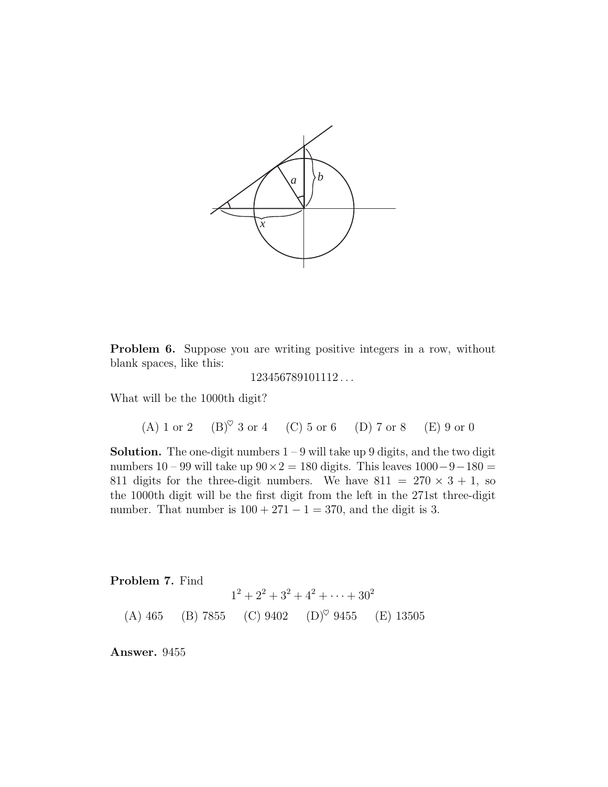

**Problem 6.** Suppose you are writing positive integers in a row, without blank spaces, like this:

```
123456789101112 ...
```
What will be the 1000th digit?

(A) 1 or 2 (B) $^\heartsuit$  3 or 4 (C) 5 or 6 (D) 7 or 8 (E) 9 or 0

**Solution.** The one-digit numbers  $1 - 9$  will take up 9 digits, and the two digit numbers 10 – 99 will take up  $90 \times 2 = 180$  digits. This leaves  $1000 - 9 - 180 =$ 811 digits for the three-digit numbers. We have  $811 = 270 \times 3 + 1$ , so the 1000th digit will be the first digit from the left in the 271st three-digit number. That number is  $100 + 271 - 1 = 370$ , and the digit is 3.

**Problem 7.** Find

 $1^2 + 2^2 + 3^2 + 4^2 + \cdots + 30^2$ (A) 465 (B) 7855 (C) 9402 (D)<sup> $\heartsuit$ </sup> 9455 (E) 13505

**Answer.** 9455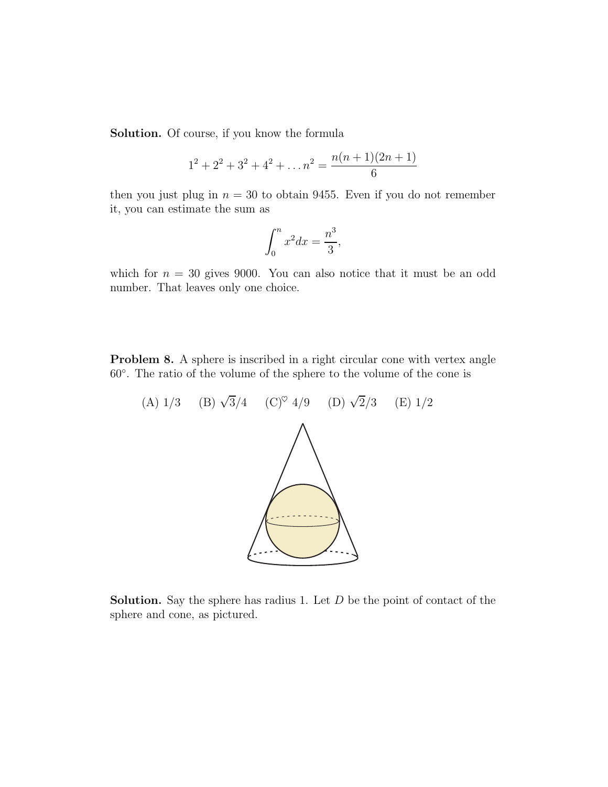**Solution.** Of course, if you know the formula

$$
1^{2} + 2^{2} + 3^{2} + 4^{2} + \dots + n^{2} = \frac{n(n+1)(2n+1)}{6}
$$

then you just plug in  $n = 30$  to obtain 9455. Even if you do not remember it, you can estimate the sum as

$$
\int_0^n x^2 dx = \frac{n^3}{3},
$$

which for  $n = 30$  gives 9000. You can also notice that it must be an odd number. That leaves only one choice.

**Problem 8.** A sphere is inscribed in a right circular cone with vertex angle 60◦. The ratio of the volume of the sphere to the volume of the cone is

(A)  $1/3$  (B)  $\sqrt{3}/4$  (C)<sup> $\heartsuit$ </sup> 4/9 (D)  $\sqrt{2}/3$  (E)  $1/2$ 

**Solution.** Say the sphere has radius 1. Let D be the point of contact of the sphere and cone, as pictured.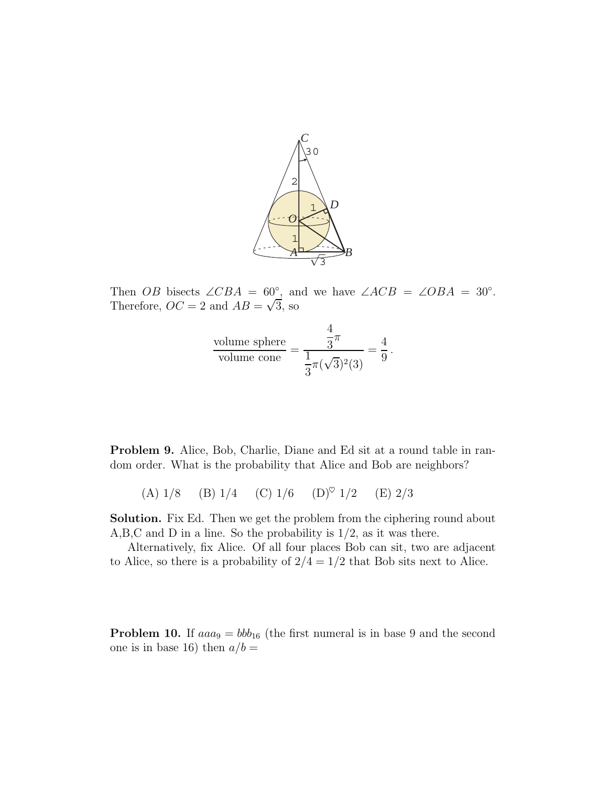

Then *OB* bisects  $\angle CBA = 60^\circ$ , and we have  $\angle ACB = \angle OBA = 30^\circ$ . Therefore,  $OC = 2$  and  $AB = \sqrt{3}$ , so

$$
\frac{\text{volume sphere}}{\text{volume cone}} = \frac{\frac{4}{3}\pi}{\frac{1}{3}\pi(\sqrt{3})^2(3)} = \frac{4}{9}.
$$

**Problem 9.** Alice, Bob, Charlie, Diane and Ed sit at a round table in random order. What is the probability that Alice and Bob are neighbors?

(A)  $1/8$  (B)  $1/4$  (C)  $1/6$  (D)<sup> $\circ$ </sup>  $1/2$  (E)  $2/3$ 

**Solution.** Fix Ed. Then we get the problem from the ciphering round about A,B,C and D in a line. So the probability is 1/2, as it was there.

Alternatively, fix Alice. Of all four places Bob can sit, two are adjacent to Alice, so there is a probability of  $2/4=1/2$  that Bob sits next to Alice.

**Problem 10.** If  $aaa_9 = bbb_{16}$  (the first numeral is in base 9 and the second one is in base 16) then  $a/b =$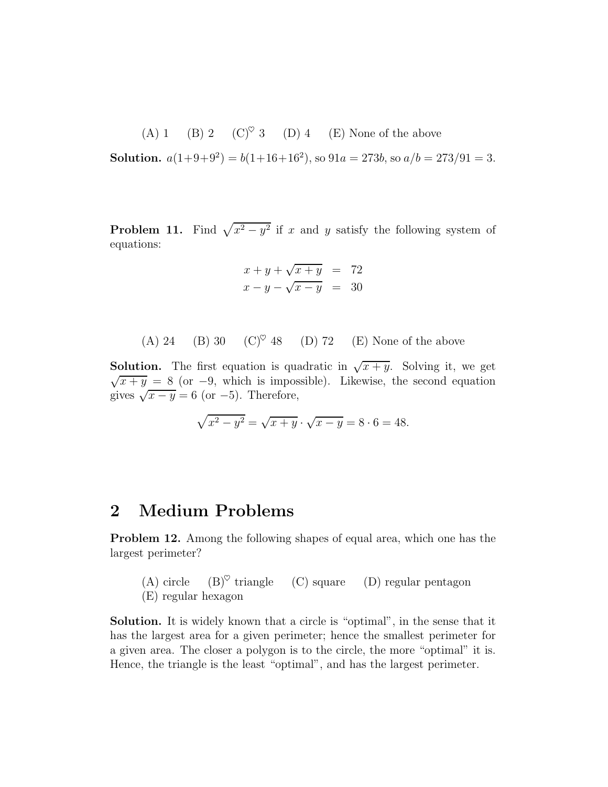(A) 1 (B) 2 (C)<sup> $\heartsuit$ </sup> 3 (D) 4 (E) None of the above

**Solution.**  $a(1+9+9^2) = b(1+16+16^2)$ , so  $91a = 273b$ , so  $a/b = 273/91 = 3$ .

**Problem 11.** Find  $\sqrt{x^2 - y^2}$  if x and y satisfy the following system of equations:

$$
x+y+\sqrt{x+y} = 72
$$
  

$$
x-y-\sqrt{x-y} = 30
$$

(A) 24 (B) 30 (C)<sup> $\heartsuit$ </sup> 48 (D) 72 (E) None of the above

**Solution.** The first equation is quadratic in  $\sqrt{x+y}$ . Solving it, we get  $\sqrt{x+y} = 8$  (or -9, which is impossible). Likewise, the second equation gives  $\sqrt{x-y} = 6$  (or -5). Therefore,

$$
\sqrt{x^2 - y^2} = \sqrt{x + y} \cdot \sqrt{x - y} = 8 \cdot 6 = 48.
$$

## **2 Medium Problems**

**Problem 12.** Among the following shapes of equal area, which one has the largest perimeter?

(A) circle  $(B)^{\heartsuit}$  triangle  $(C)$  square  $(D)$  regular pentagon (E) regular hexagon

**Solution.** It is widely known that a circle is "optimal", in the sense that it has the largest area for a given perimeter; hence the smallest perimeter for a given area. The closer a polygon is to the circle, the more "optimal" it is. Hence, the triangle is the least "optimal", and has the largest perimeter.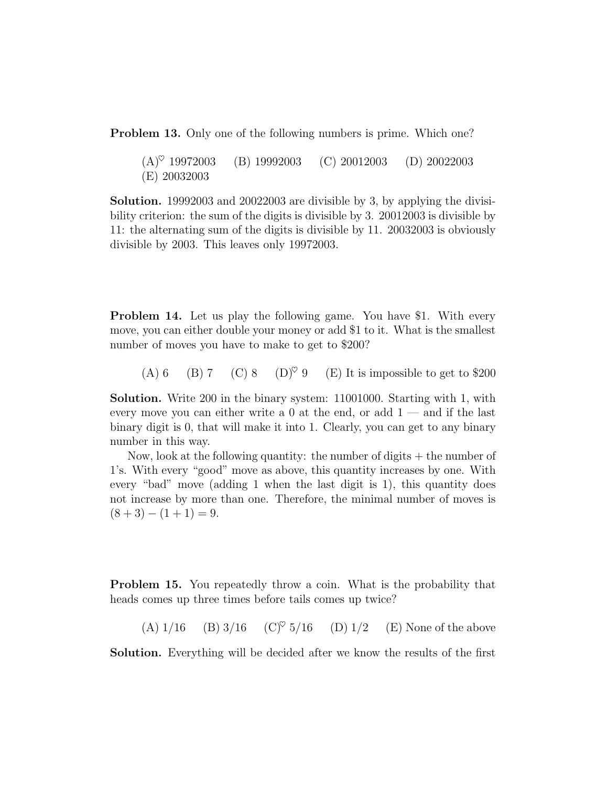**Problem 13.** Only one of the following numbers is prime. Which one?

 $(A)^\heartsuit$  19972003 (B) 19992003 (C) 20012003 (D) 20022003 (E) 20032003

**Solution.** 19992003 and 20022003 are divisible by 3, by applying the divisibility criterion: the sum of the digits is divisible by 3. 20012003 is divisible by 11: the alternating sum of the digits is divisible by 11. 20032003 is obviously divisible by 2003. This leaves only 19972003.

**Problem 14.** Let us play the following game. You have \$1. With every move, you can either double your money or add \$1 to it. What is the smallest number of moves you have to make to get to \$200?

(A) 6 (B) 7 (C) 8 (D)<sup> $\heartsuit$ </sup> 9 (E) It is impossible to get to \$200

**Solution.** Write 200 in the binary system: 11001000. Starting with 1, with every move you can either write a  $0$  at the end, or add  $1$  — and if the last binary digit is 0, that will make it into 1. Clearly, you can get to any binary number in this way.

Now, look at the following quantity: the number of digits  $+$  the number of 1's. With every "good" move as above, this quantity increases by one. With every "bad" move (adding 1 when the last digit is 1), this quantity does not increase by more than one. Therefore, the minimal number of moves is  $(8+3)-(1+1)=9.$ 

**Problem 15.** You repeatedly throw a coin. What is the probability that heads comes up three times before tails comes up twice?

(A)  $1/16$  (B)  $3/16$  (C)<sup> $\degree$ </sup> 5/16 (D)  $1/2$  (E) None of the above

**Solution.** Everything will be decided after we know the results of the first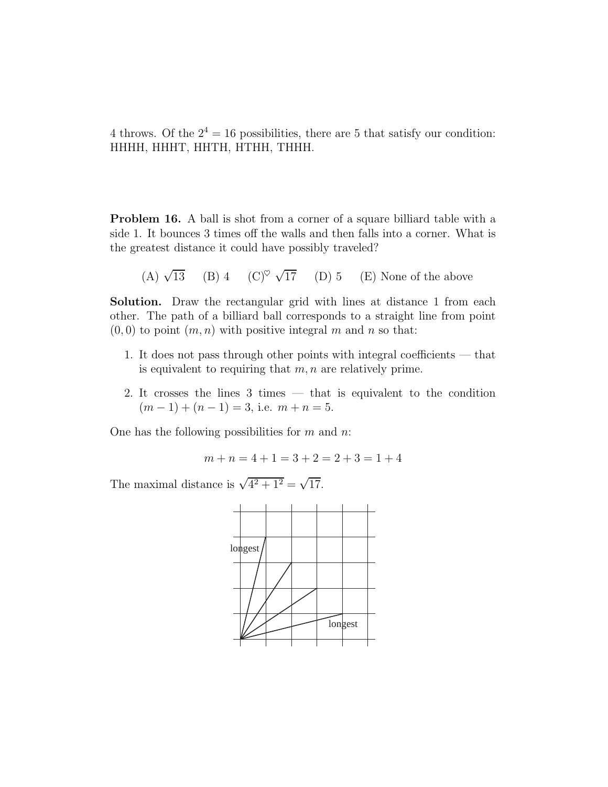4 throws. Of the  $2^4 = 16$  possibilities, there are 5 that satisfy our condition: HHHH, HHHT, HHTH, HTHH, THHH.

**Problem 16.** A ball is shot from a corner of a square billiard table with a side 1. It bounces 3 times off the walls and then falls into a corner. What is the greatest distance it could have possibly traveled?

(A) 
$$
\sqrt{13}
$$
 (B) 4 (C)<sup>°</sup>  $\sqrt{17}$  (D) 5 (E) None of the above

**Solution.** Draw the rectangular grid with lines at distance 1 from each other. The path of a billiard ball corresponds to a straight line from point  $(0, 0)$  to point  $(m, n)$  with positive integral m and n so that:

- 1. It does not pass through other points with integral coefficients that is equivalent to requiring that  $m, n$  are relatively prime.
- 2. It crosses the lines 3 times that is equivalent to the condition  $(m-1) + (n-1) = 3$ , i.e.  $m + n = 5$ .

One has the following possibilities for  $m$  and  $n$ .

$$
m + n = 4 + 1 = 3 + 2 = 2 + 3 = 1 + 4
$$

The maximal distance is  $\sqrt{4^2 + 1^2} = \sqrt{17}$ .

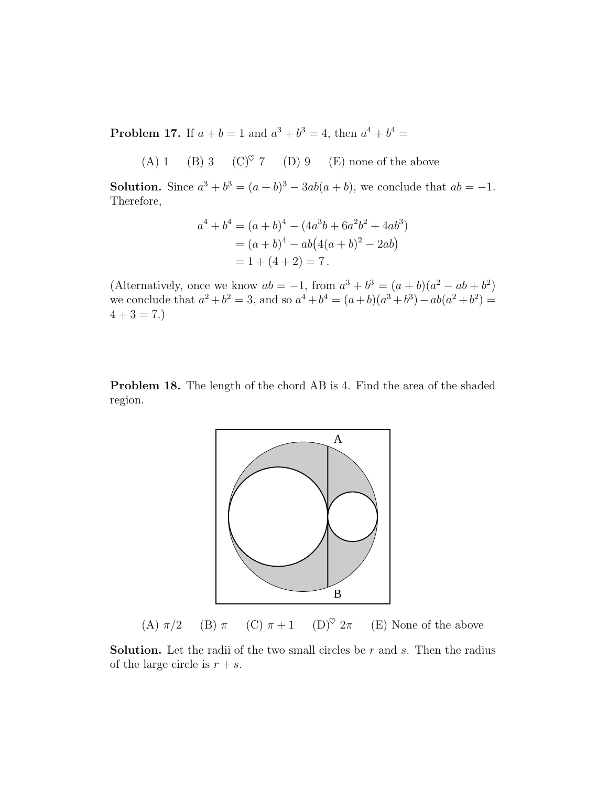**Problem 17.** If  $a + b = 1$  and  $a^3 + b^3 = 4$ , then  $a^4 + b^4 =$ 

(A) 1 (B) 3 (C) $\degree$  7 (D) 9 (E) none of the above

**Solution.** Since  $a^3 + b^3 = (a + b)^3 - 3ab(a + b)$ , we conclude that  $ab = -1$ . Therefore,

$$
a4 + b4 = (a + b)4 - (4a3b + 6a2b2 + 4ab3)
$$
  
= (a + b)<sup>4</sup> - ab(4(a + b)<sup>2</sup> - 2ab)  
= 1 + (4 + 2) = 7.

(Alternatively, once we know  $ab = -1$ , from  $a^3 + b^3 = (a + b)(a^2 - ab + b^2)$ we conclude that  $a^2 + b^2 = 3$ , and so  $a^4 + b^4 = (a+b)(a^3 + b^3) - ab(a^2 + b^2) =$  $4 + 3 = 7.$ 

**Problem 18.** The length of the chord AB is 4. Find the area of the shaded region.



(A)  $\pi/2$  (B)  $\pi$  (C)  $\pi + 1$  (D)<sup> $\heartsuit$ </sup> 2 $\pi$  (E) None of the above

**Solution.** Let the radii of the two small circles be  $r$  and  $s$ . Then the radius of the large circle is  $r + s$ .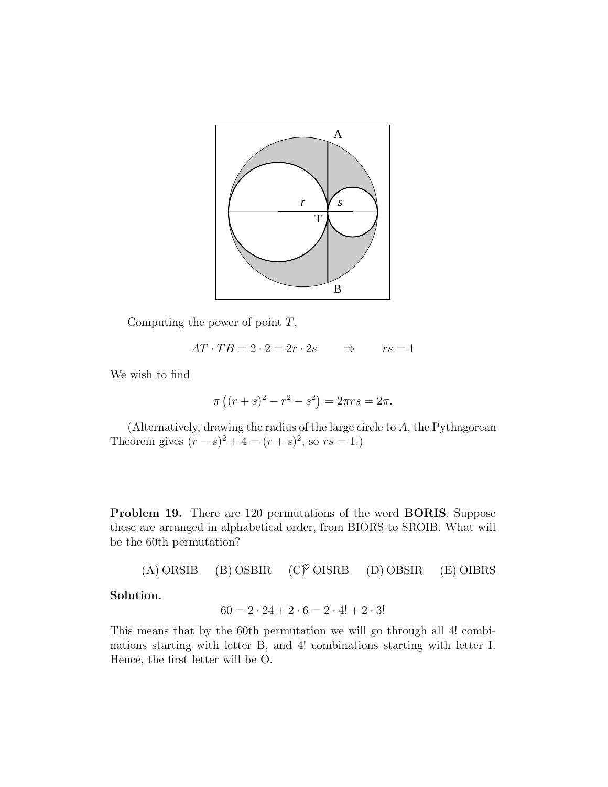

Computing the power of point  $T$ ,

$$
AT \cdot TB = 2 \cdot 2 = 2r \cdot 2s \qquad \Rightarrow \qquad rs = 1
$$

We wish to find

$$
\pi ((r + s)2 - r2 - s2) = 2\pi rs = 2\pi.
$$

(Alternatively, drawing the radius of the large circle to A, the Pythagorean Theorem gives  $(r - s)^2 + 4 = (r + s)^2$ , so  $rs = 1$ .)

**Problem 19.** There are 120 permutations of the word **BORIS**. Suppose these are arranged in alphabetical order, from BIORS to SROIB. What will be the 60th permutation?

(A) ORSIB (B) OSBIR  $(C)^\heartsuit$  OISRB (D) OBSIR (E) OIBRS

## **Solution.**

$$
60 = 2 \cdot 24 + 2 \cdot 6 = 2 \cdot 4! + 2 \cdot 3!
$$

This means that by the 60th permutation we will go through all 4! combinations starting with letter B, and 4! combinations starting with letter I. Hence, the first letter will be O.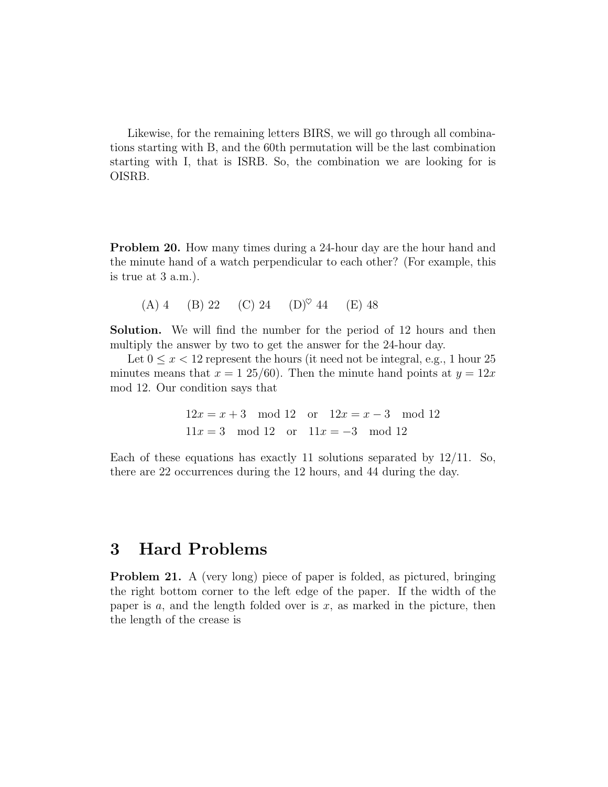Likewise, for the remaining letters BIRS, we will go through all combinations starting with B, and the 60th permutation will be the last combination starting with I, that is ISRB. So, the combination we are looking for is OISRB.

**Problem 20.** How many times during a 24-hour day are the hour hand and the minute hand of a watch perpendicular to each other? (For example, this is true at 3 a.m.).

(A) 4 (B) 22 (C) 24 (D)<sup> $\heartsuit$ </sup> 44 (E) 48

**Solution.** We will find the number for the period of 12 hours and then multiply the answer by two to get the answer for the 24-hour day.

Let  $0 \leq x < 12$  represent the hours (it need not be integral, e.g., 1 hour 25 minutes means that  $x = 1\ 25/60$ . Then the minute hand points at  $y = 12x$ mod 12. Our condition says that

$$
12x = x + 3 \mod 12
$$
 or  $12x = x - 3 \mod 12$   
 $11x = 3 \mod 12$  or  $11x = -3 \mod 12$ 

Each of these equations has exactly 11 solutions separated by  $12/11$ . So, there are 22 occurrences during the 12 hours, and 44 during the day.

## **3 Hard Problems**

**Problem 21.** A (very long) piece of paper is folded, as pictured, bringing the right bottom corner to the left edge of the paper. If the width of the paper is  $a$ , and the length folded over is  $x$ , as marked in the picture, then the length of the crease is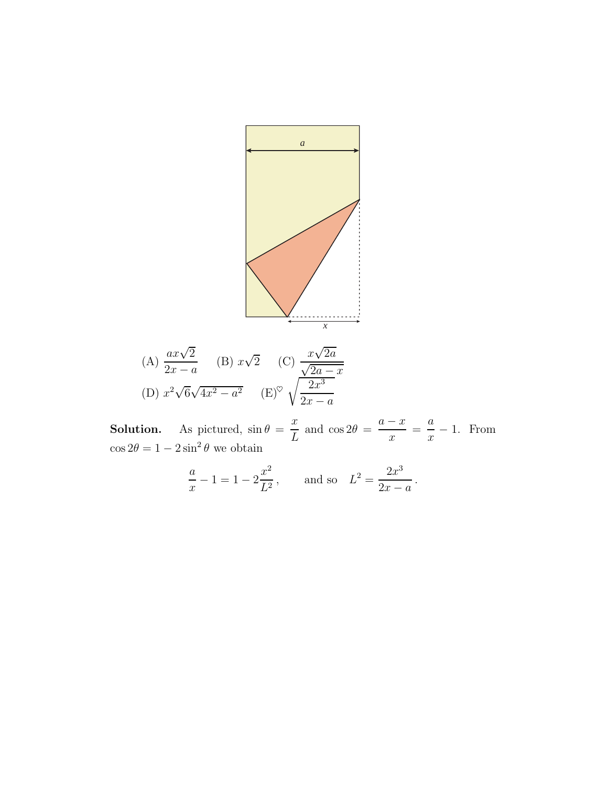

(A) 
$$
\frac{ax\sqrt{2}}{2x - a}
$$
 (B)  $x\sqrt{2}$  (C)  $\frac{x\sqrt{2a}}{\sqrt{2a - x}}$   
(D)  $x^2\sqrt{6}\sqrt{4x^2 - a^2}$  (E)<sup>o</sup>  $\sqrt{\frac{2x^3}{2x - a}}$ 

**Solution.** As pictured,  $\sin \theta = \frac{x}{L}$  and  $\cos 2\theta = \frac{a-x}{x} = \frac{a}{x} - 1$ . From  $\cos 2\theta = 1 - 2\sin^2 \theta$  we obtain

$$
\frac{a}{x} - 1 = 1 - 2\frac{x^2}{L^2}, \quad \text{and so} \quad L^2 = \frac{2x^3}{2x - a}.
$$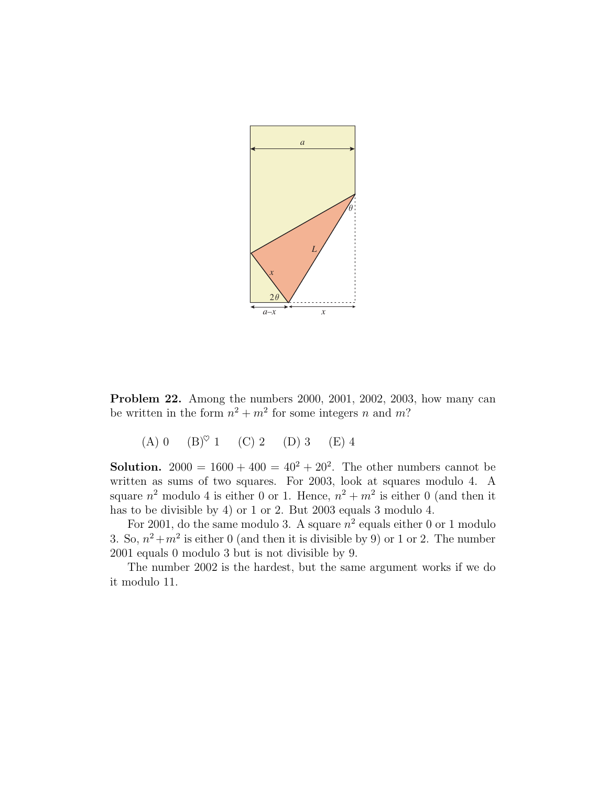

**Problem 22.** Among the numbers 2000, 2001, 2002, 2003, how many can be written in the form  $n^2 + m^2$  for some integers n and m?

(A) 0  $(B)^\heartsuit$  1 (C) 2 (D) 3 (E) 4

**Solution.** 2000 =  $1600 + 400 = 40^2 + 20^2$ . The other numbers cannot be written as sums of two squares. For 2003, look at squares modulo 4. A square  $n^2$  modulo 4 is either 0 or 1. Hence,  $n^2 + m^2$  is either 0 (and then it has to be divisible by 4) or 1 or 2. But 2003 equals 3 modulo 4.

For 2001, do the same modulo 3. A square  $n^2$  equals either 0 or 1 modulo 3. So,  $n^2 + m^2$  is either 0 (and then it is divisible by 9) or 1 or 2. The number 2001 equals 0 modulo 3 but is not divisible by 9.

The number 2002 is the hardest, but the same argument works if we do it modulo 11.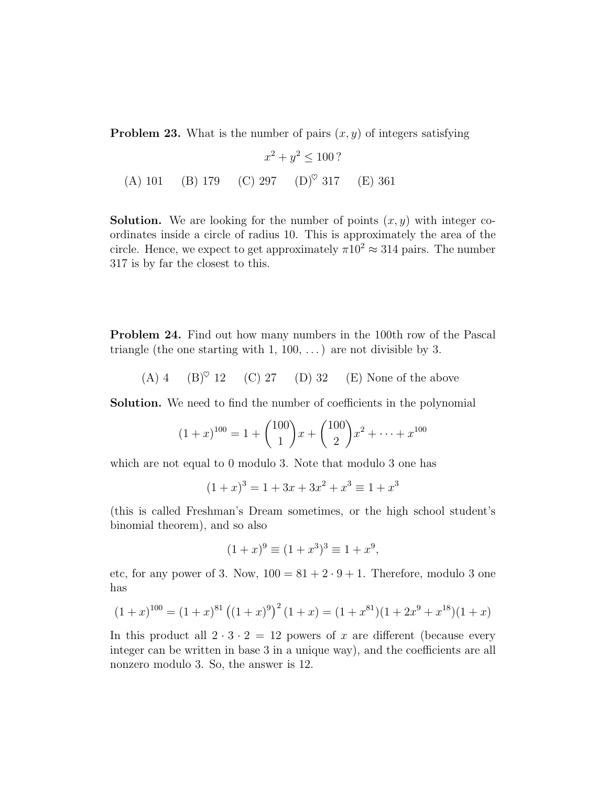**Problem 23.** What is the number of pairs  $(x, y)$  of integers satisfying

$$
x^{2} + y^{2} \le 100 ?
$$
  
(A) 101 (B) 179 (C) 297 (D)° 317 (E) 361

**Solution.** We are looking for the number of points  $(x, y)$  with integer coordinates inside a circle of radius 10. This is approximately the area of the circle. Hence, we expect to get approximately  $\pi 10^2 \approx 314$  pairs. The number 317 is by far the closest to this.

**Problem 24.** Find out how many numbers in the 100th row of the Pascal triangle (the one starting with  $1, 100, \ldots$ ) are not divisible by 3.

(A) 4 (B)♥ 12 (C) 27 (D) 32 (E) None of the above

**Solution.** We need to find the number of coefficients in the polynomial

$$
(1+x)^{100} = 1 + {100 \choose 1}x + {100 \choose 2}x^2 + \dots + x^{100}
$$

which are not equal to 0 modulo 3. Note that modulo 3 one has

$$
(1+x)^3 = 1 + 3x + 3x^2 + x^3 \equiv 1 + x^3
$$

(this is called Freshman's Dream sometimes, or the high school student's binomial theorem), and so also

$$
(1+x)^9 \equiv (1+x^3)^3 \equiv 1+x^9,
$$

etc, for any power of 3. Now,  $100 = 81 + 2 \cdot 9 + 1$ . Therefore, modulo 3 one has

$$
(1+x)^{100} = (1+x)^{81} ((1+x)^9)^2 (1+x) = (1+x^{81})(1+2x^9+x^{18})(1+x)
$$

In this product all  $2 \cdot 3 \cdot 2 = 12$  powers of x are different (because every integer can be written in base 3 in a unique way), and the coefficients are all nonzero modulo 3. So, the answer is 12.